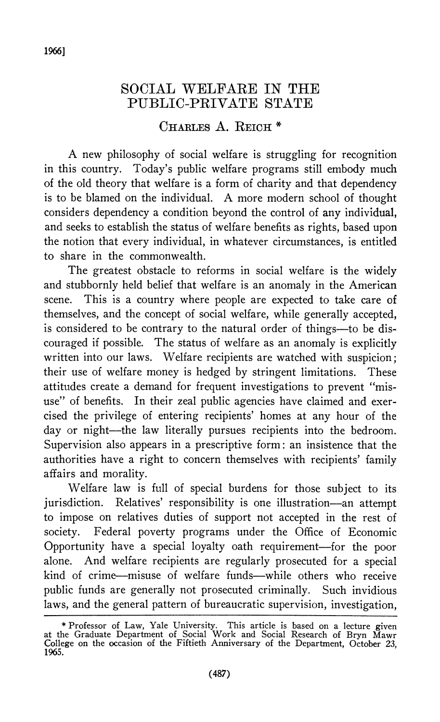## **SOCTATL WELFARE IN THE PUBLIC-PRIVATE STATE**

## **CHARLES A. REICH \***

**A new philosophy of social welfare is struggling for recognition in this country. Today's public welfare programs still embody much of the old theory that welfare is a form of charity and that dependency is to be blamed on the individual. A more modern school of thought considers dependency a condition beyond the control of any individual, and seeks to establish the status of welfare benefits as rights, based upon the notion that every individual, in whatever circumstances, is entitled to share in the commonwealth.** 

**The greatest obstacle to reforms in social welfare is the widely and stubbornly held belief that welfare is an anomaly in the American scene. This is a country where people are expected to take care of themselves, and the concept of social welfare, while generally accepted,**  is considered to be contrary to the natural order of things—to be dis**couraged if possible. The status of welfare as an anomaly is explicitly written into our laws. Welfare recipients are watched with suspicion; their use of welfare money is hedged by stringent limitations. These attitudes create a demand for frequent investigations to prevent "misuse" of benefits. In their zeal public agencies have claimed and exercised the privilege of entering recipients' homes at any hour of the**  day or night-the law literally pursues recipients into the bedroom. **Supervision also appears in a prescriptive form: an insistence that the authorities have a right to concern themselves with recipients' family affairs and morality.** 

**Welfare law is full of special burdens for those subject to its jurisdiction. Relatives' responsibility is one illustration-an attempt to impose on relatives duties of support not accepted in the rest of society. Federal poverty programs under the Office of Economic Opportunity have a special loyalty oath requirement-for the poor alone. And welfare recipients are regularly prosecuted for a special kind of crime-misuse of welfare funds-while others who receive public funds are generally not prosecuted criminally. Such invidious laws, and the general pattern of bureaucratic supervision, investigation,** 

**<sup>\*</sup> Professor of Law, Yale University. This article is based on a lecture given at the Graduate Department of Social Work and Social Research of Bryn Mawr College on the occasion of the Fiftieth Anniversary of the Department, October 23, 1965.**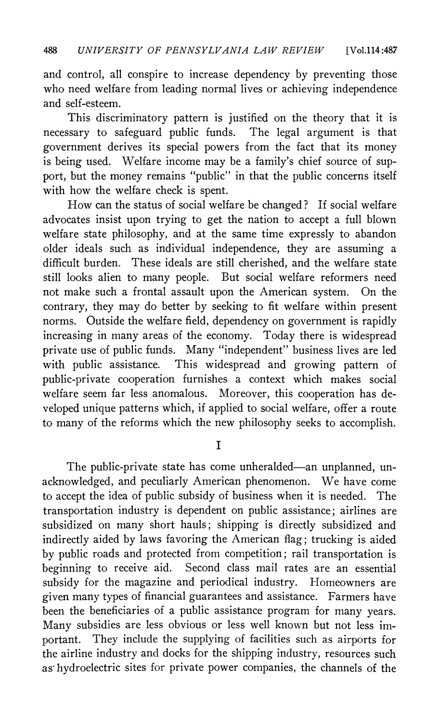**and control, all conspire to increase dependency by preventing those who need welfare from leading normal lives or achieving independence and self-esteem.** 

**This discriminatory pattern is justified on the theory that it is necessary to safeguard public funds. The legal argument is that government derives its special powers from the fact that its money is being used. Welfare income may be a family's chief source of support, but the money remains "public" in that the public concerns itself with how the welfare check is spent.** 

**How can the status of social welfare be changed? If social welfare advocates insist upon trying to get the nation to accept a full blown welfare state philosophy, and at the same time expressly to abandon older ideals such as individual independence, they are assuming a difficult burden. These ideals are still cherished, and the welfare state still looks alien to many people. But social welfare reformers need not make such a frontal assault upon the American system. On the contrary, they may do better by seeking to fit welfare within present norms. Outside the welfare field, dependency on government is rapidly increasing in many areas of the economy. Today there is widespread private use of public funds. Many "independent" business lives are led with public assistance. This widespread and growing pattern of public-private cooperation furnishes a context which makes social welfare seem far less anomalous. Moreover, this cooperation has developed unique patterns which, if applied to social welfare, offer a route to many of the reforms which the new philosophy seeks to accomplish.** 

**I** 

**The public-private state has come unheralded-an unplanned, unacknowledged, and peculiarly American phenomenon. We have come**  to accept the idea of public subsidy of business when it is needed. The **transportation industry is dependent on public assistance; airlines are subsidized on many short hauls; shipping is directly subsidized and indirectly aided by laws favoring the American flag; trucking is aided by public roads and protected from competition; rail transportation is beginning to receive aid. Second class mail rates are an essential subsidy for the magazine and periodical industry. Homeowners are given many types of financial guarantees and assistance. Farmers have been the beneficiaries of a public assistance program for many years. Many subsidies are less obvious or less well known but not less important. They include the supplying of facilities such as airports for the airline industry and docks for the shipping industry, resources such as-hydroelectric sites for private power companies, the channels of the**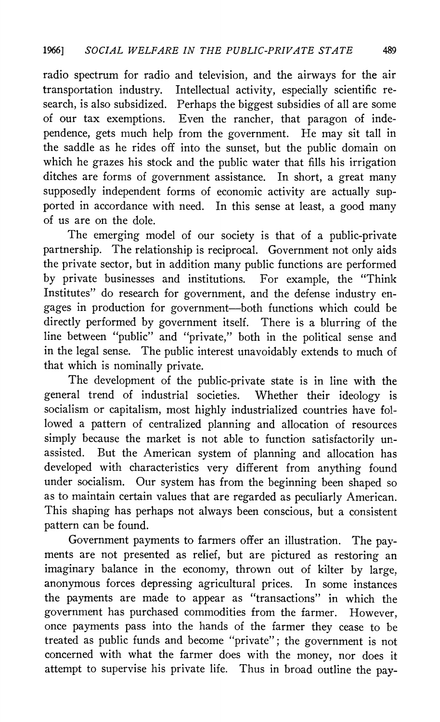**radio spectrum for radio and television, and the airways for the air transportation industry. Intellectual activity, especially scientific research, is also subsidized. Perhaps the biggest subsidies of all are some of our tax exemptions. Even the rancher, that paragon of independence, gets much help from the government. He may sit tall in the saddle as he rides off into the sunset, but the public domain on which he grazes his stock and the public water that fills his irrigation ditches are forms of government assistance. In short, a great many supposedly independent forms of economic activity are actually supported in accordance with need. In this sense at least, a good many of us are on the dole.** 

**The emerging model of our society is that of a public-private partnership. The relationship is reciprocal. Government not only aids the private sector, but in addition many public functions are performed by private businesses and institutions. For example, the "Think Institutes" do research for government, and the defense industry engages in production for government-both functions which could be directly performed by government itself. There is a blurring of the line between "public" and "private," both in the political sense and in the legal sense. The public interest unavoidably extends to much of that which is nominally private.** 

**The development of the public-private state is in line with the general trend of industrial societies. Whether their ideology is socialism or capitalism, most highly industrialized countries have followed a pattern of centralized planning and allocation of resources simply because the market is not able to function satisfactorily unassisted. But the American system of planning and allocation has developed with characteristics very different from anything found under socialism. Our system has from the beginning been shaped so as to maintain certain values that are regarded as peculiarly American. This shaping has perhaps not always been conscious, but a consistent pattern can be found.** 

**Government payments to farmers offer an illustration. The payments are not presented as relief, but are pictured as restoring an imaginary balance in the economy, thrown out of kilter by large, anonymous forces depressing agricultural prices. In some instances the payments are made to appear as "transactions" in which the government has purchased commodities from the farmer. However, once payments pass into the hands of the farmer they cease to be treated as public funds and become "private"; the government is not concerned with what the farmer does with the money, nor does it attempt to supervise his private life. Thus in broad outline the pay-**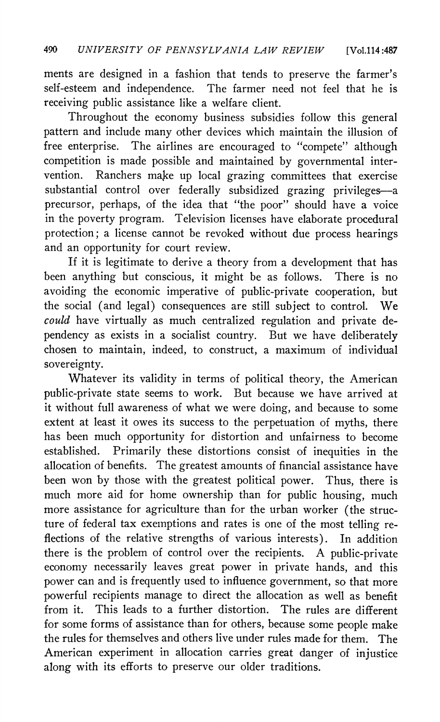**ments are designed in a fashion that tends to preserve the farmer's self-esteem and independence. The farmer need not feel that he is receiving public assistance like a welfare client.** 

**Throughout the economy business subsidies follow this general pattern and include many other devices which maintain the illusion of free enterprise. The airlines are encouraged to "compete" although competition is made possible and maintained by governmental intervention. Ranchers make up local grazing committees that exercise substantial control over federally subsidized grazing privileges-a precursor, perhaps, of the idea that "the poor" should have a voice in the poverty program. Television licenses have elaborate procedural protection; a license cannot be revoked without due process hearings and an opportunity for court review.** 

**If it is legitimate to derive a theory from a development that has been anything but conscious, it might be as follows. There is no avoiding the economic imperative of public-private cooperation, but the social (and legal) consequences are still subject to control. We could have virtually as much centralized regulation and private dependency as exists in a socialist country. But we have deliberately chosen to maintain, indeed, to construct, a maximum of individual sovereignty.** 

**Whatever its validity in terms of political theory, the American public-private state seems to work. But because we have arrived at it without full awareness of what we were doing, and because to some extent at least it owes its success to the perpetuation of myths, there has been much opportunity for distortion and unfairness to become established. Primarily these distortions consist of inequities in the allocation of benefits. The greatest amounts of financial assistance have been won by those with the greatest political power. Thus, there is much more aid for home ownership than for public housing, much more assistance for agriculture than for the urban worker (the structure of federal tax exemptions and rates is one of the most telling reflections of the relative strengths of various interests). In addition there is the problem of control over the recipients. A public-private economy necessarily leaves great power in private hands, and this power can and is frequently used to influence government, so that more**  powerful recipients manage to direct the allocation as well as benefit from it. This leads to a further distortion. The rules are different This leads to a further distortion. The rules are different **for some forms of assistance than for others, because some people make the rules for themselves and others live under rules made for them. The American experiment in allocation carries great danger of injustice along with its efforts to preserve our older traditions.**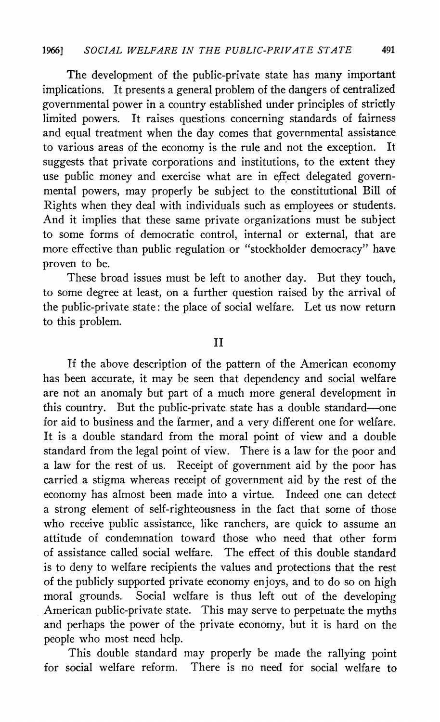**The development of the public-private state has many important implications. It presents a general problem of the dangers of centralized governmental power in a country established under principles of strictly limited powers. It raises questions concerning standards of fairness and equal treatment when the day comes that governmental assistance**  to various areas of the economy is the rule and not the exception. **suggests that private corporations and institutions, to the extent they use public money and exercise what are in effect delegated governmental powers, may properly be subject to the constitutional Bill of Rights when they deal with individuals such as employees or students. And it implies that these same private organizations must be subject to some forms of democratic control, internal or external, that are more effective than public regulation or "stockholder democracy" have proven to be.** 

**These broad issues must be left to another day. But they touch, to some degree at least, on a further question raised by the arrival of the public-private state: the place of social welfare. Let us now return to this problem.** 

**II** 

**If the above description of the pattern of the American economy has been accurate, it may be seen that dependency and social welfare are not an anomaly but part of a much more general development in this country. But the public-private state has a double standard-one for aid to business and the farmer, and a very different one for welfare. It is a double standard from the moral point of view and a double standard from the legal point of view. There is a law for the poor and a law for the rest of us. Receipt of government aid by the poor has carried a stigma whereas receipt of government aid by the rest of the economy has almost been made into a virtue. Indeed one can detect a strong element of self-righteousness in the fact that some of those who receive public assistance, like ranchers, are quick to assume an attitude of condemnation toward those who need that other form of assistance called social welfare. The effect of this double standard is to deny to welfare recipients the values and protections that the rest of the publicly supported private economy enjoys, and to do so on high moral grounds. Social welfare is thus left out of the developing American public-private state. This may serve to perpetuate the myths and perhaps the power of the private economy, but it is hard on the people who most need help.** 

**This double standard may properly be made the rallying point for social welfare reform. There is no need for social welfare to**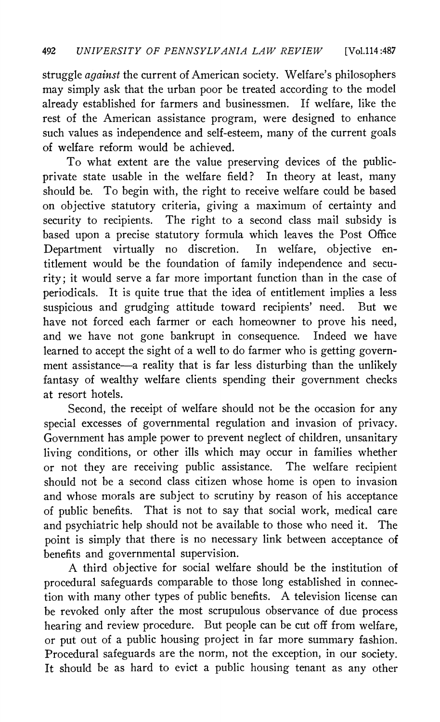**struggle against the current of American society. Welfare's philosophers may simply ask that the urban poor be treated according to the model already established for farmers and businessmen. If welfare, like the rest of the American assistance program, were designed to enhance such values as independence and self-esteem, many of the current goals of welfare reform would be achieved.** 

**To what extent are the value preserving devices of the publicprivate state usable in the welfare field? In theory at least, many should be. To begin with, the right to receive welfare could be based on objective statutory criteria, giving a maximum of certainty and security to recipients. The right to a second class mail subsidy is based upon a precise statutory formula which leaves the Post Office Department virtually no discretion. In welfare, objective entitlement would be the foundation of family independence and security; it would serve a far more important function than in the case of periodicals. It is quite true that the idea of entitlement implies a less suspicious and grudging attitude toward recipients' need. But we have not forced each farmer or each homeowner to prove his need, and we have not gone bankrupt in consequence. Indeed we have learned to accept the sight of a well to do farmer who is getting government assistance-a reality that is far less disturbing than the unlikely fantasy of wealthy welfare clients spending their government checks at resort hotels.** 

**Second, the receipt of welfare should not be the occasion for any special excesses of governmental regulation and invasion of privacy. Government has ample power to prevent neglect of children, unsanitary living conditions, or other ills which may occur in families whether or not they are receiving public assistance. The welfare recipient should not be a second class citizen whose home is open to invasion and whose morals are subject to scrutiny by reason of his acceptance of public benefits. That is not to say that social work, medical care and psychiatric help should not be available to those who need it. The point is simply that there is no necessary link between acceptance of benefits and governmental supervision.** 

**A third objective for social welfare should be the institution of procedural safeguards comparable to those long established in connection with many other types of public benefits. A television license can be revoked only after the most scrupulous observance of due process hearing and review procedure. But people can be cut off from welfare, or put out of a public housing project in far more summary fashion. Procedural safeguards are the norm, not the exception, in our society. It should be as hard to evict a public housing tenant as any other**